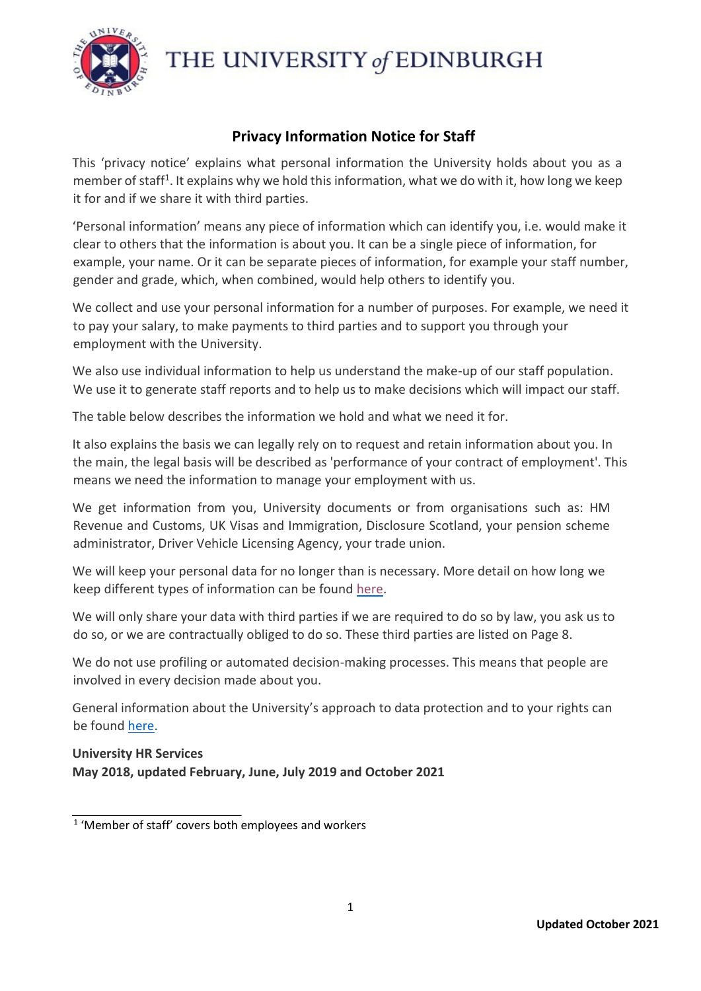

THE UNIVERSITY of EDINBURGH

## **Privacy Information Notice for Staff**

This 'privacy notice' explains what personal information the University holds about you as a member of staff<sup>1</sup>. It explains why we hold this information, what we do with it, how long we keep it for and if we share it with third parties.

'Personal information' means any piece of information which can identify you, i.e. would make it clear to others that the information is about you. It can be a single piece of information, for example, your name. Or it can be separate pieces of information, for example your staff number, gender and grade, which, when combined, would help others to identify you.

We collect and use your personal information for a number of purposes. For example, we need it to pay your salary, to make payments to third parties and to support you through your employment with the University.

We also use individual information to help us understand the make-up of our staff population. We use it to generate staff reports and to help us to make decisions which will impact our staff.

The table below describes the information we hold and what we need it for.

It also explains the basis we can legally rely on to request and retain information about you. In the main, the legal basis will be described as 'performance of your contract of employment'. This means we need the information to manage your employment with us.

We get information from you, University documents or from organisations such as: HM Revenue and Customs, UK Visas and Immigration, Disclosure Scotland, your pension scheme administrator, Driver Vehicle Licensing Agency, your trade union.

We will keep your personal data for no longer than is necessary. More detail on how long we keep different types of information can be foun[d](https://www.ed.ac.uk/files/atoms/files/hr_retentionschedule_-_golden_copy.pdf) [here](https://www.ed.ac.uk/human-resources/privacy-information-notice)[.](https://www.ed.ac.uk/files/atoms/files/hr_retentionschedule_-_golden_copy.pdf)

We will only share your data with third parties if we are required to do so by law, you ask us to do so, or we are contractually obliged to do so. These third parties are listed on Page 8.

We do not use profiling or automated decision-making processes. This means that people are involved in every decision made about you.

General information about the University's approach to data protection and to your rights can be found [here.](https://www.ed.ac.uk/records-management/notice)

## **University HR Services May 2018, updated February, June, July 2019 and October 2021**

<sup>1</sup> 'Member of staff' covers both employees and workers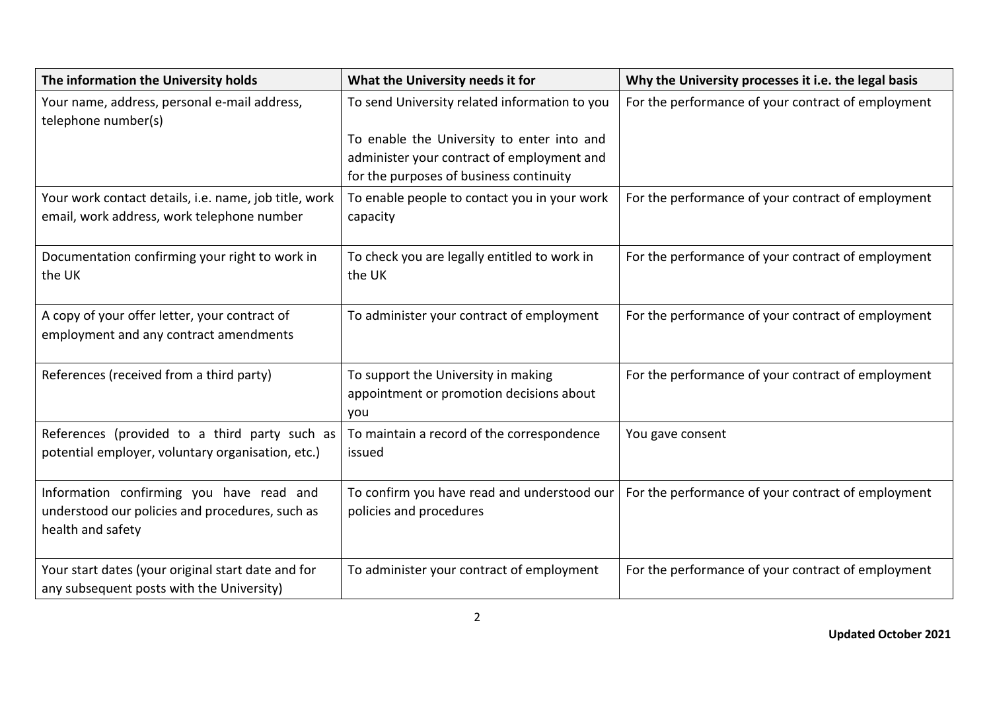| The information the University holds                                                                             | What the University needs it for                                                                                                    | Why the University processes it i.e. the legal basis |
|------------------------------------------------------------------------------------------------------------------|-------------------------------------------------------------------------------------------------------------------------------------|------------------------------------------------------|
| Your name, address, personal e-mail address,<br>telephone number(s)                                              | To send University related information to you                                                                                       | For the performance of your contract of employment   |
|                                                                                                                  | To enable the University to enter into and<br>administer your contract of employment and<br>for the purposes of business continuity |                                                      |
| Your work contact details, i.e. name, job title, work<br>email, work address, work telephone number              | To enable people to contact you in your work<br>capacity                                                                            | For the performance of your contract of employment   |
| Documentation confirming your right to work in<br>the UK                                                         | To check you are legally entitled to work in<br>the UK                                                                              | For the performance of your contract of employment   |
| A copy of your offer letter, your contract of<br>employment and any contract amendments                          | To administer your contract of employment                                                                                           | For the performance of your contract of employment   |
| References (received from a third party)                                                                         | To support the University in making<br>appointment or promotion decisions about<br>you                                              | For the performance of your contract of employment   |
| References (provided to a third party such as<br>potential employer, voluntary organisation, etc.)               | To maintain a record of the correspondence<br>issued                                                                                | You gave consent                                     |
| Information confirming you have read and<br>understood our policies and procedures, such as<br>health and safety | To confirm you have read and understood our<br>policies and procedures                                                              | For the performance of your contract of employment   |
| Your start dates (your original start date and for<br>any subsequent posts with the University)                  | To administer your contract of employment                                                                                           | For the performance of your contract of employment   |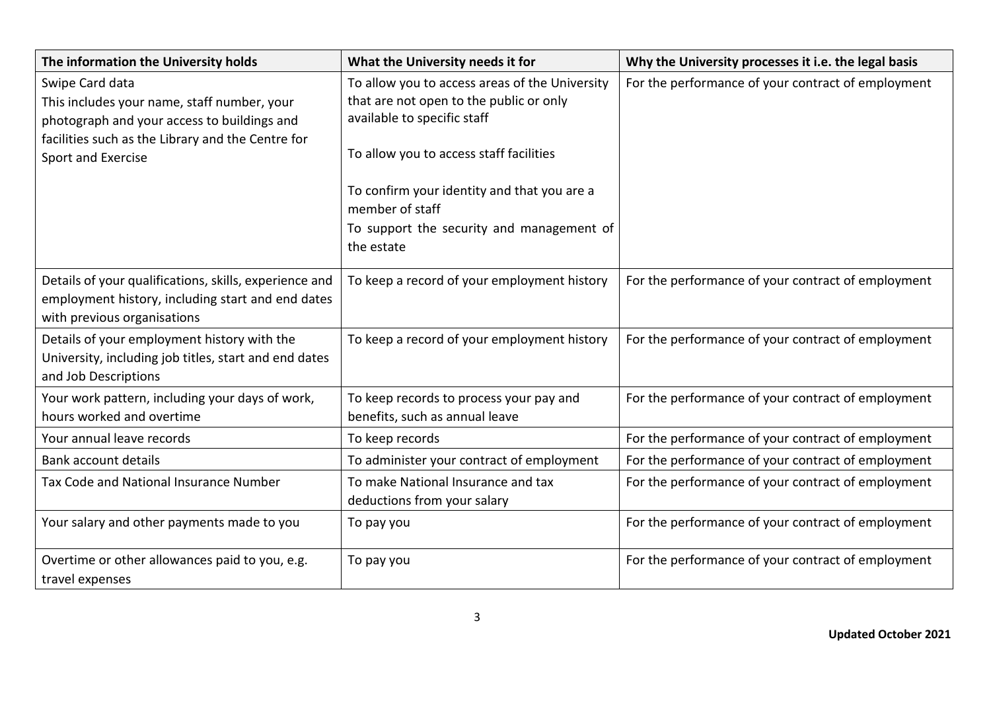| The information the University holds                                                                                                                                                     | What the University needs it for                                                                                                                                                                                                                                                                 | Why the University processes it i.e. the legal basis |
|------------------------------------------------------------------------------------------------------------------------------------------------------------------------------------------|--------------------------------------------------------------------------------------------------------------------------------------------------------------------------------------------------------------------------------------------------------------------------------------------------|------------------------------------------------------|
| Swipe Card data<br>This includes your name, staff number, your<br>photograph and your access to buildings and<br>facilities such as the Library and the Centre for<br>Sport and Exercise | To allow you to access areas of the University<br>that are not open to the public or only<br>available to specific staff<br>To allow you to access staff facilities<br>To confirm your identity and that you are a<br>member of staff<br>To support the security and management of<br>the estate | For the performance of your contract of employment   |
| Details of your qualifications, skills, experience and<br>employment history, including start and end dates<br>with previous organisations                                               | To keep a record of your employment history                                                                                                                                                                                                                                                      | For the performance of your contract of employment   |
| Details of your employment history with the<br>University, including job titles, start and end dates<br>and Job Descriptions                                                             | To keep a record of your employment history                                                                                                                                                                                                                                                      | For the performance of your contract of employment   |
| Your work pattern, including your days of work,<br>hours worked and overtime                                                                                                             | To keep records to process your pay and<br>benefits, such as annual leave                                                                                                                                                                                                                        | For the performance of your contract of employment   |
| Your annual leave records                                                                                                                                                                | To keep records                                                                                                                                                                                                                                                                                  | For the performance of your contract of employment   |
| Bank account details                                                                                                                                                                     | To administer your contract of employment                                                                                                                                                                                                                                                        | For the performance of your contract of employment   |
| Tax Code and National Insurance Number                                                                                                                                                   | To make National Insurance and tax<br>deductions from your salary                                                                                                                                                                                                                                | For the performance of your contract of employment   |
| Your salary and other payments made to you                                                                                                                                               | To pay you                                                                                                                                                                                                                                                                                       | For the performance of your contract of employment   |
| Overtime or other allowances paid to you, e.g.<br>travel expenses                                                                                                                        | To pay you                                                                                                                                                                                                                                                                                       | For the performance of your contract of employment   |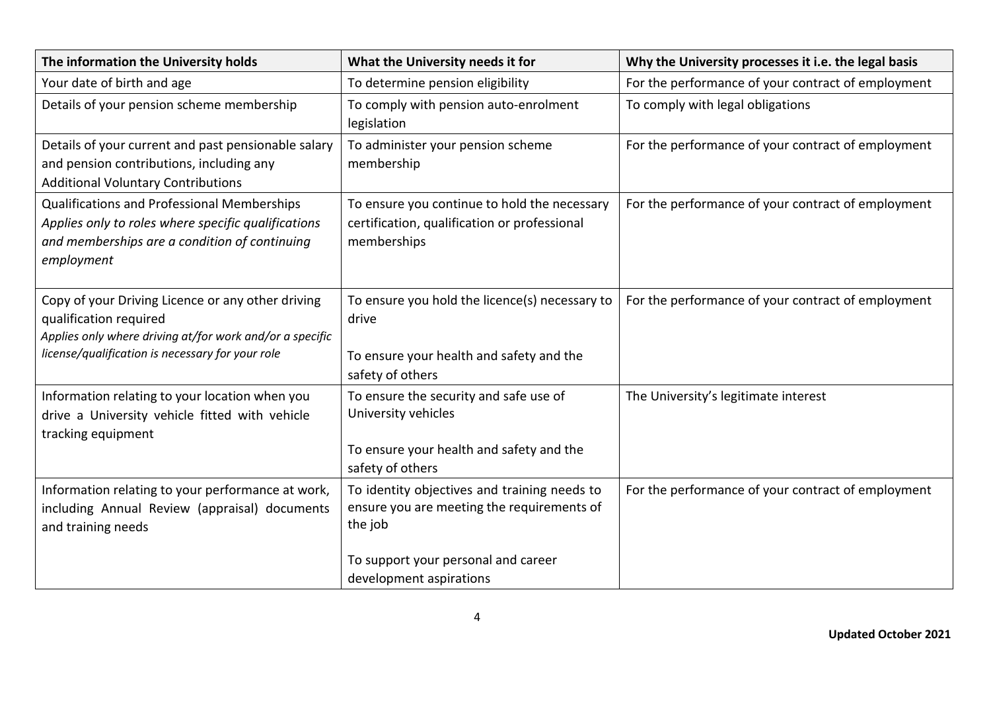| The information the University holds                                                                                                                                                        | What the University needs it for                                                                                                             | Why the University processes it i.e. the legal basis |
|---------------------------------------------------------------------------------------------------------------------------------------------------------------------------------------------|----------------------------------------------------------------------------------------------------------------------------------------------|------------------------------------------------------|
| Your date of birth and age                                                                                                                                                                  | To determine pension eligibility                                                                                                             | For the performance of your contract of employment   |
| Details of your pension scheme membership                                                                                                                                                   | To comply with pension auto-enrolment<br>legislation                                                                                         | To comply with legal obligations                     |
| Details of your current and past pensionable salary<br>and pension contributions, including any<br><b>Additional Voluntary Contributions</b>                                                | To administer your pension scheme<br>membership                                                                                              | For the performance of your contract of employment   |
| Qualifications and Professional Memberships<br>Applies only to roles where specific qualifications<br>and memberships are a condition of continuing<br>employment                           | To ensure you continue to hold the necessary<br>certification, qualification or professional<br>memberships                                  | For the performance of your contract of employment   |
| Copy of your Driving Licence or any other driving<br>qualification required<br>Applies only where driving at/for work and/or a specific<br>license/qualification is necessary for your role | To ensure you hold the licence(s) necessary to<br>drive<br>To ensure your health and safety and the<br>safety of others                      | For the performance of your contract of employment   |
| Information relating to your location when you<br>drive a University vehicle fitted with vehicle<br>tracking equipment                                                                      | To ensure the security and safe use of<br>University vehicles<br>To ensure your health and safety and the<br>safety of others                | The University's legitimate interest                 |
| Information relating to your performance at work,<br>including Annual Review (appraisal) documents<br>and training needs                                                                    | To identity objectives and training needs to<br>ensure you are meeting the requirements of<br>the job<br>To support your personal and career | For the performance of your contract of employment   |
|                                                                                                                                                                                             | development aspirations                                                                                                                      |                                                      |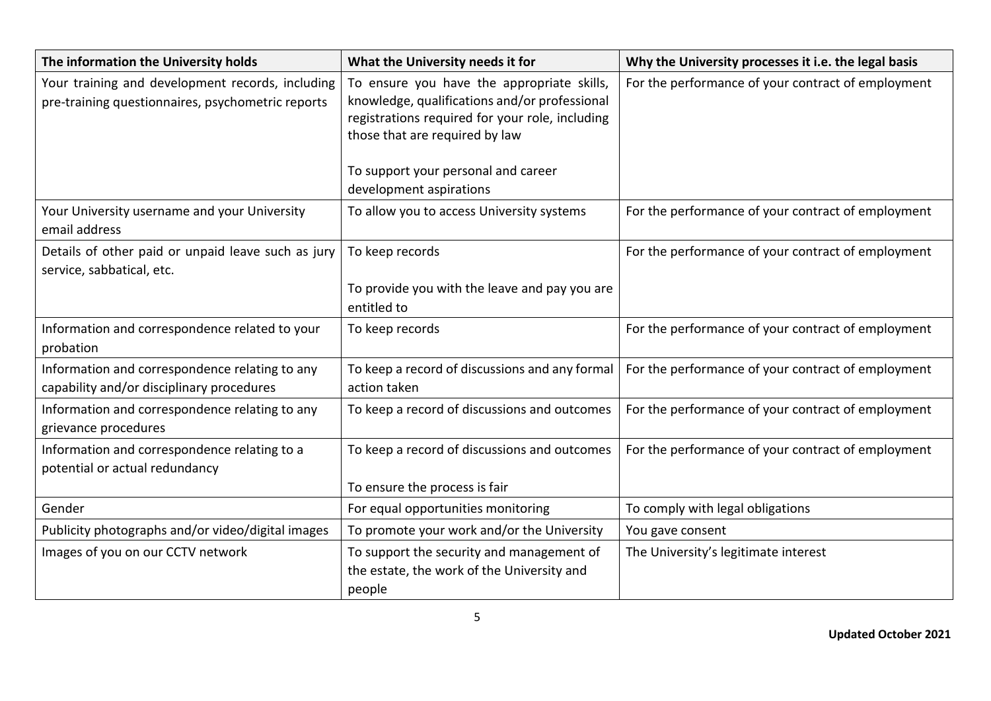| The information the University holds                                                                  | What the University needs it for                                                                                                                                                                                                                   | Why the University processes it i.e. the legal basis |
|-------------------------------------------------------------------------------------------------------|----------------------------------------------------------------------------------------------------------------------------------------------------------------------------------------------------------------------------------------------------|------------------------------------------------------|
| Your training and development records, including<br>pre-training questionnaires, psychometric reports | To ensure you have the appropriate skills,<br>knowledge, qualifications and/or professional<br>registrations required for your role, including<br>those that are required by law<br>To support your personal and career<br>development aspirations | For the performance of your contract of employment   |
| Your University username and your University<br>email address                                         | To allow you to access University systems                                                                                                                                                                                                          | For the performance of your contract of employment   |
| Details of other paid or unpaid leave such as jury<br>service, sabbatical, etc.                       | To keep records<br>To provide you with the leave and pay you are<br>entitled to                                                                                                                                                                    | For the performance of your contract of employment   |
| Information and correspondence related to your<br>probation                                           | To keep records                                                                                                                                                                                                                                    | For the performance of your contract of employment   |
| Information and correspondence relating to any<br>capability and/or disciplinary procedures           | To keep a record of discussions and any formal<br>action taken                                                                                                                                                                                     | For the performance of your contract of employment   |
| Information and correspondence relating to any<br>grievance procedures                                | To keep a record of discussions and outcomes                                                                                                                                                                                                       | For the performance of your contract of employment   |
| Information and correspondence relating to a<br>potential or actual redundancy                        | To keep a record of discussions and outcomes<br>To ensure the process is fair                                                                                                                                                                      | For the performance of your contract of employment   |
| Gender                                                                                                | For equal opportunities monitoring                                                                                                                                                                                                                 | To comply with legal obligations                     |
| Publicity photographs and/or video/digital images                                                     | To promote your work and/or the University                                                                                                                                                                                                         | You gave consent                                     |
| Images of you on our CCTV network                                                                     | To support the security and management of<br>the estate, the work of the University and<br>people                                                                                                                                                  | The University's legitimate interest                 |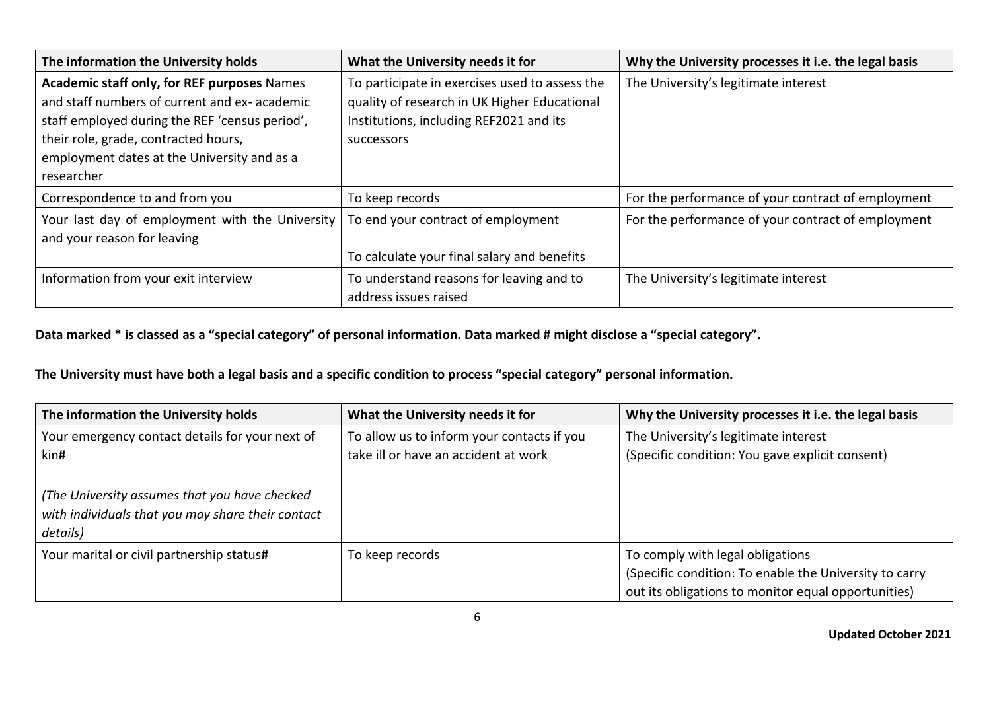| The information the University holds                                                                                                                                                                                                               | What the University needs it for                                                                                                                        | Why the University processes it i.e. the legal basis |
|----------------------------------------------------------------------------------------------------------------------------------------------------------------------------------------------------------------------------------------------------|---------------------------------------------------------------------------------------------------------------------------------------------------------|------------------------------------------------------|
| Academic staff only, for REF purposes Names<br>and staff numbers of current and ex-academic<br>staff employed during the REF 'census period',<br>their role, grade, contracted hours,<br>employment dates at the University and as a<br>researcher | To participate in exercises used to assess the<br>quality of research in UK Higher Educational<br>Institutions, including REF2021 and its<br>successors | The University's legitimate interest                 |
| Correspondence to and from you                                                                                                                                                                                                                     | To keep records                                                                                                                                         | For the performance of your contract of employment   |
| Your last day of employment with the University<br>and your reason for leaving                                                                                                                                                                     | To end your contract of employment<br>To calculate your final salary and benefits                                                                       | For the performance of your contract of employment   |
| Information from your exit interview                                                                                                                                                                                                               | To understand reasons for leaving and to<br>address issues raised                                                                                       | The University's legitimate interest                 |

## **Data marked \* is classed as a "special category" of personal information. Data marked # might disclose a "special category".**

## **The University must have both a legal basis and a specific condition to process "special category" personal information.**

| The information the University holds                                                                           | What the University needs it for                                                   | Why the University processes it i.e. the legal basis                                                                                              |
|----------------------------------------------------------------------------------------------------------------|------------------------------------------------------------------------------------|---------------------------------------------------------------------------------------------------------------------------------------------------|
| Your emergency contact details for your next of<br>kin#                                                        | To allow us to inform your contacts if you<br>take ill or have an accident at work | The University's legitimate interest<br>(Specific condition: You gave explicit consent)                                                           |
| (The University assumes that you have checked<br>with individuals that you may share their contact<br>details) |                                                                                    |                                                                                                                                                   |
| Your marital or civil partnership status#                                                                      | To keep records                                                                    | To comply with legal obligations<br>(Specific condition: To enable the University to carry<br>out its obligations to monitor equal opportunities) |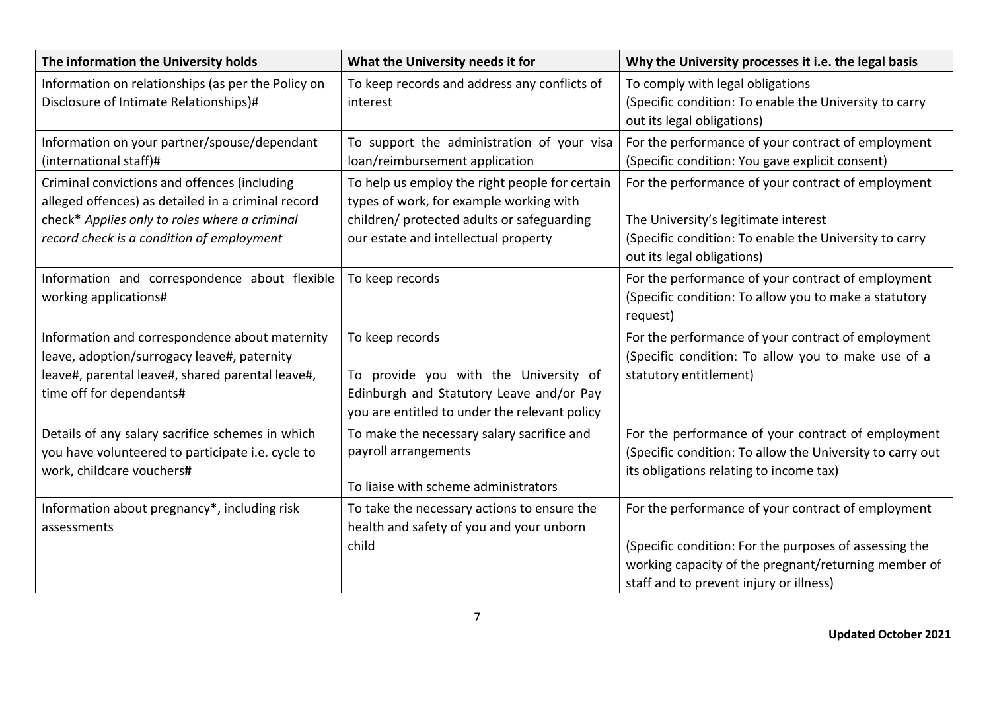| The information the University holds                                                                                                                                          | What the University needs it for                                                                                                                      | Why the University processes it i.e. the legal basis                                                                                                                                                            |
|-------------------------------------------------------------------------------------------------------------------------------------------------------------------------------|-------------------------------------------------------------------------------------------------------------------------------------------------------|-----------------------------------------------------------------------------------------------------------------------------------------------------------------------------------------------------------------|
| Information on relationships (as per the Policy on<br>Disclosure of Intimate Relationships)#                                                                                  | To keep records and address any conflicts of<br>interest                                                                                              | To comply with legal obligations<br>(Specific condition: To enable the University to carry<br>out its legal obligations)                                                                                        |
| Information on your partner/spouse/dependant<br>(international staff)#                                                                                                        | To support the administration of your visa<br>loan/reimbursement application                                                                          | For the performance of your contract of employment<br>(Specific condition: You gave explicit consent)                                                                                                           |
| Criminal convictions and offences (including<br>alleged offences) as detailed in a criminal record                                                                            | To help us employ the right people for certain<br>types of work, for example working with                                                             | For the performance of your contract of employment                                                                                                                                                              |
| check* Applies only to roles where a criminal<br>record check is a condition of employment                                                                                    | children/ protected adults or safeguarding<br>our estate and intellectual property                                                                    | The University's legitimate interest<br>(Specific condition: To enable the University to carry<br>out its legal obligations)                                                                                    |
| Information and correspondence about flexible<br>working applications#                                                                                                        | To keep records                                                                                                                                       | For the performance of your contract of employment<br>(Specific condition: To allow you to make a statutory<br>request)                                                                                         |
| Information and correspondence about maternity<br>leave, adoption/surrogacy leave#, paternity<br>leave#, parental leave#, shared parental leave#,<br>time off for dependants# | To keep records<br>To provide you with the University of<br>Edinburgh and Statutory Leave and/or Pay<br>you are entitled to under the relevant policy | For the performance of your contract of employment<br>(Specific condition: To allow you to make use of a<br>statutory entitlement)                                                                              |
| Details of any salary sacrifice schemes in which<br>you have volunteered to participate i.e. cycle to<br>work, childcare vouchers#                                            | To make the necessary salary sacrifice and<br>payroll arrangements<br>To liaise with scheme administrators                                            | For the performance of your contract of employment<br>(Specific condition: To allow the University to carry out<br>its obligations relating to income tax)                                                      |
| Information about pregnancy*, including risk<br>assessments                                                                                                                   | To take the necessary actions to ensure the<br>health and safety of you and your unborn<br>child                                                      | For the performance of your contract of employment<br>(Specific condition: For the purposes of assessing the<br>working capacity of the pregnant/returning member of<br>staff and to prevent injury or illness) |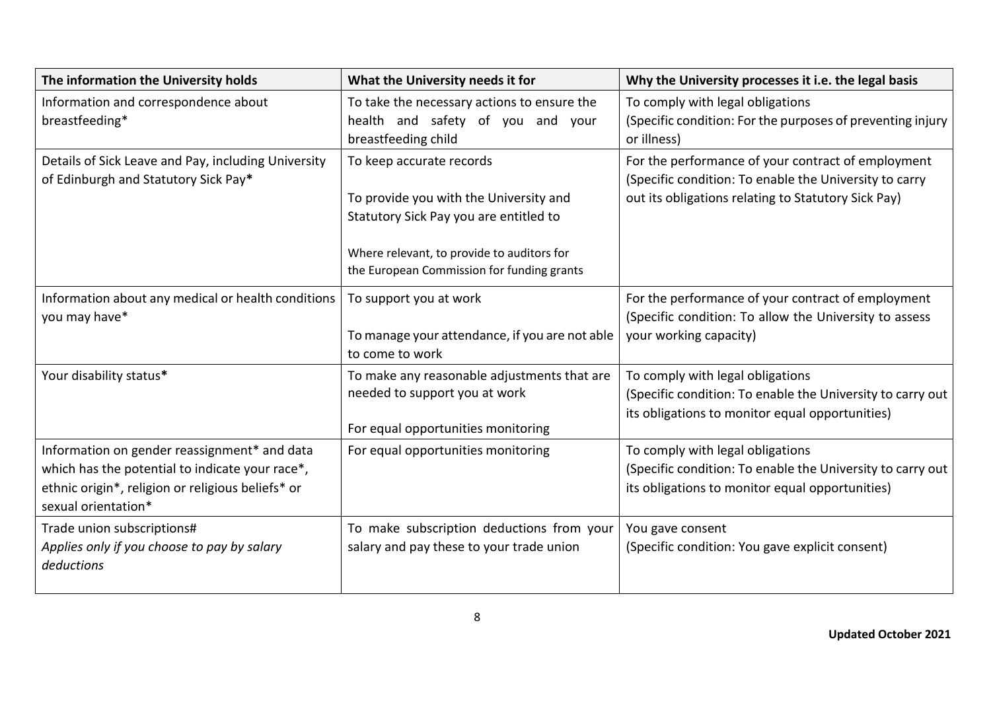| The information the University holds                                                                                                                                        | What the University needs it for                                                                                                                                                                         | Why the University processes it i.e. the legal basis                                                                                                                |
|-----------------------------------------------------------------------------------------------------------------------------------------------------------------------------|----------------------------------------------------------------------------------------------------------------------------------------------------------------------------------------------------------|---------------------------------------------------------------------------------------------------------------------------------------------------------------------|
| Information and correspondence about<br>breastfeeding*                                                                                                                      | To take the necessary actions to ensure the<br>health and safety of you and your<br>breastfeeding child                                                                                                  | To comply with legal obligations<br>(Specific condition: For the purposes of preventing injury<br>or illness)                                                       |
| Details of Sick Leave and Pay, including University<br>of Edinburgh and Statutory Sick Pay*                                                                                 | To keep accurate records<br>To provide you with the University and<br>Statutory Sick Pay you are entitled to<br>Where relevant, to provide to auditors for<br>the European Commission for funding grants | For the performance of your contract of employment<br>(Specific condition: To enable the University to carry<br>out its obligations relating to Statutory Sick Pay) |
| Information about any medical or health conditions<br>you may have*                                                                                                         | To support you at work<br>To manage your attendance, if you are not able<br>to come to work                                                                                                              | For the performance of your contract of employment<br>(Specific condition: To allow the University to assess<br>your working capacity)                              |
| Your disability status*                                                                                                                                                     | To make any reasonable adjustments that are<br>needed to support you at work<br>For equal opportunities monitoring                                                                                       | To comply with legal obligations<br>(Specific condition: To enable the University to carry out<br>its obligations to monitor equal opportunities)                   |
| Information on gender reassignment* and data<br>which has the potential to indicate your race*,<br>ethnic origin*, religion or religious beliefs* or<br>sexual orientation* | For equal opportunities monitoring                                                                                                                                                                       | To comply with legal obligations<br>(Specific condition: To enable the University to carry out<br>its obligations to monitor equal opportunities)                   |
| Trade union subscriptions#<br>Applies only if you choose to pay by salary<br>deductions                                                                                     | To make subscription deductions from your<br>salary and pay these to your trade union                                                                                                                    | You gave consent<br>(Specific condition: You gave explicit consent)                                                                                                 |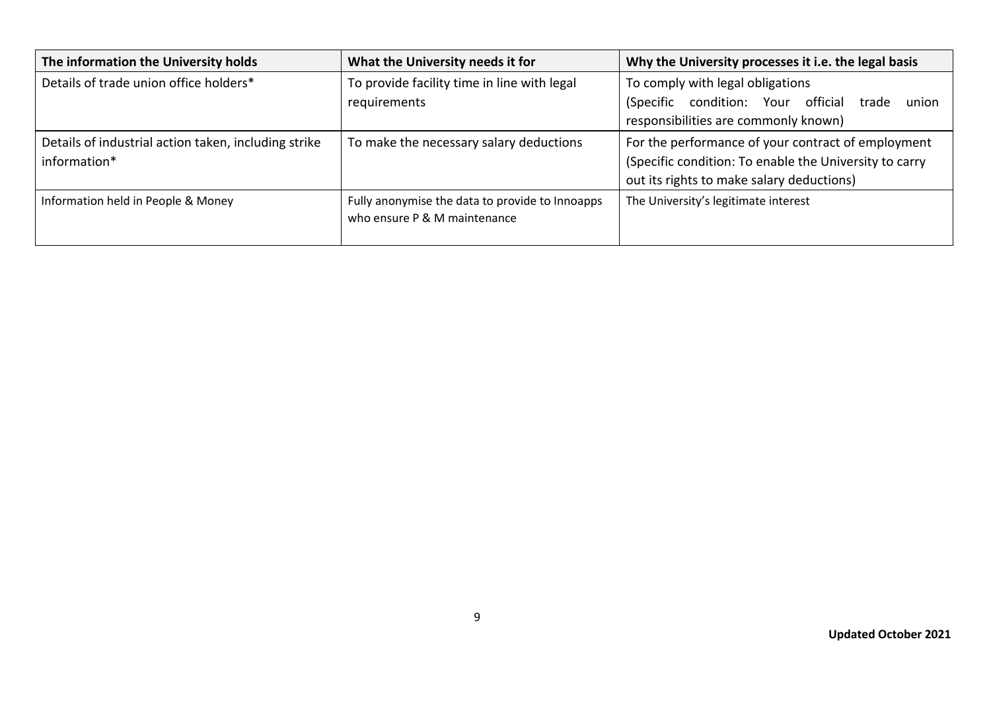| The information the University holds                                 | What the University needs it for                                                | Why the University processes it i.e. the legal basis                                                                                                      |
|----------------------------------------------------------------------|---------------------------------------------------------------------------------|-----------------------------------------------------------------------------------------------------------------------------------------------------------|
| Details of trade union office holders*                               | To provide facility time in line with legal<br>requirements                     | To comply with legal obligations<br>(Specific condition: Your official<br>trade<br>union<br>responsibilities are commonly known)                          |
| Details of industrial action taken, including strike<br>information* | To make the necessary salary deductions                                         | For the performance of your contract of employment<br>(Specific condition: To enable the University to carry<br>out its rights to make salary deductions) |
| Information held in People & Money                                   | Fully anonymise the data to provide to Innoapps<br>who ensure P & M maintenance | The University's legitimate interest                                                                                                                      |